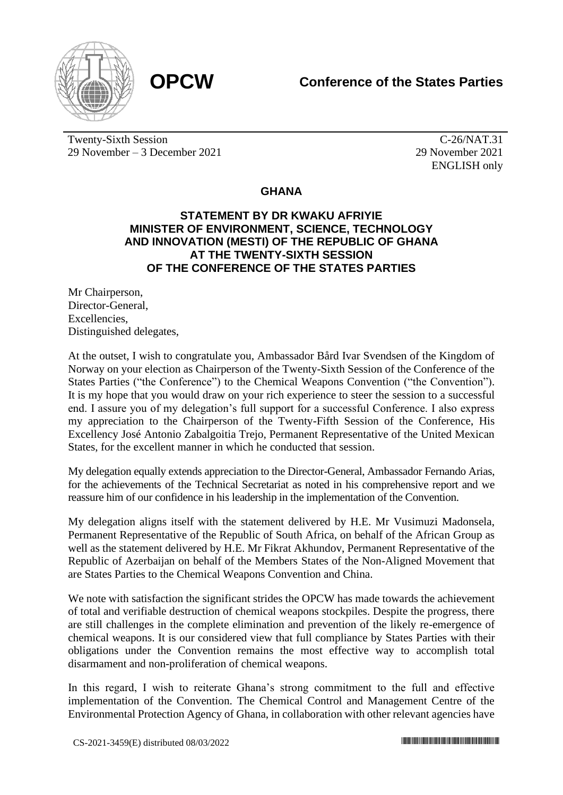

Twenty-Sixth Session 29 November – 3 December 2021

C-26/NAT.31 29 November 2021 ENGLISH only

## **GHANA**

## **STATEMENT BY DR KWAKU AFRIYIE MINISTER OF ENVIRONMENT, SCIENCE, TECHNOLOGY AND INNOVATION (MESTI) OF THE REPUBLIC OF GHANA AT THE TWENTY-SIXTH SESSION OF THE CONFERENCE OF THE STATES PARTIES**

Mr Chairperson, Director-General, **Excellencies** Distinguished delegates,

At the outset, I wish to congratulate you, Ambassador Bård Ivar Svendsen of the Kingdom of Norway on your election as Chairperson of the Twenty-Sixth Session of the Conference of the States Parties ("the Conference") to the Chemical Weapons Convention ("the Convention"). It is my hope that you would draw on your rich experience to steer the session to a successful end. I assure you of my delegation's full support for a successful Conference. I also express my appreciation to the Chairperson of the Twenty-Fifth Session of the Conference, His Excellency José Antonio Zabalgoitia Trejo, Permanent Representative of the United Mexican States, for the excellent manner in which he conducted that session.

My delegation equally extends appreciation to the Director-General, Ambassador Fernando Arias, for the achievements of the Technical Secretariat as noted in his comprehensive report and we reassure him of our confidence in his leadership in the implementation of the Convention.

My delegation aligns itself with the statement delivered by H.E. Mr Vusimuzi Madonsela, Permanent Representative of the Republic of South Africa, on behalf of the African Group as well as the statement delivered by H.E. Mr Fikrat Akhundov, Permanent Representative of the Republic of Azerbaijan on behalf of the Members States of the Non-Aligned Movement that are States Parties to the Chemical Weapons Convention and China.

We note with satisfaction the significant strides the OPCW has made towards the achievement of total and verifiable destruction of chemical weapons stockpiles. Despite the progress, there are still challenges in the complete elimination and prevention of the likely re-emergence of chemical weapons. It is our considered view that full compliance by States Parties with their obligations under the Convention remains the most effective way to accomplish total disarmament and non-proliferation of chemical weapons.

In this regard, I wish to reiterate Ghana's strong commitment to the full and effective implementation of the Convention. The Chemical Control and Management Centre of the Environmental Protection Agency of Ghana, in collaboration with other relevant agencies have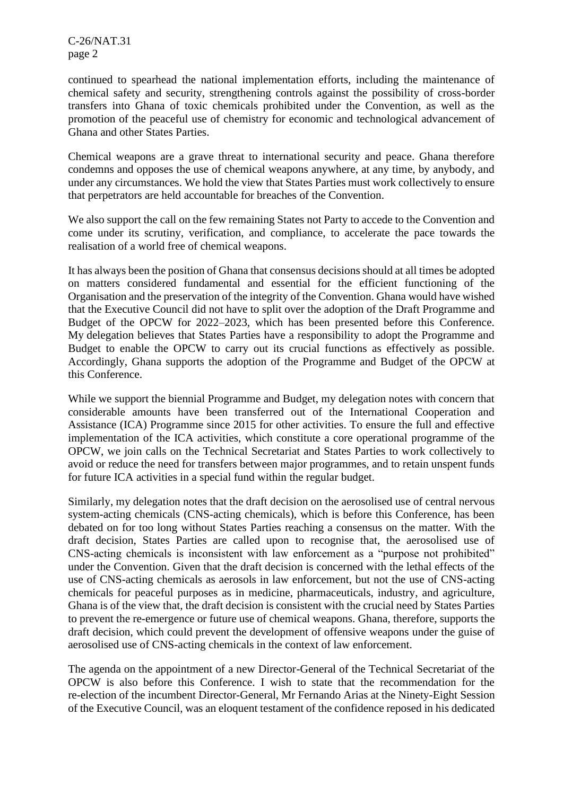C-26/NAT.31 page 2

continued to spearhead the national implementation efforts, including the maintenance of chemical safety and security, strengthening controls against the possibility of cross-border transfers into Ghana of toxic chemicals prohibited under the Convention, as well as the promotion of the peaceful use of chemistry for economic and technological advancement of Ghana and other States Parties.

Chemical weapons are a grave threat to international security and peace. Ghana therefore condemns and opposes the use of chemical weapons anywhere, at any time, by anybody, and under any circumstances. We hold the view that States Parties must work collectively to ensure that perpetrators are held accountable for breaches of the Convention.

We also support the call on the few remaining States not Party to accede to the Convention and come under its scrutiny, verification, and compliance, to accelerate the pace towards the realisation of a world free of chemical weapons.

It has always been the position of Ghana that consensus decisions should at all times be adopted on matters considered fundamental and essential for the efficient functioning of the Organisation and the preservation of the integrity of the Convention. Ghana would have wished that the Executive Council did not have to split over the adoption of the Draft Programme and Budget of the OPCW for 2022–2023, which has been presented before this Conference. My delegation believes that States Parties have a responsibility to adopt the Programme and Budget to enable the OPCW to carry out its crucial functions as effectively as possible. Accordingly, Ghana supports the adoption of the Programme and Budget of the OPCW at this Conference.

While we support the biennial Programme and Budget, my delegation notes with concern that considerable amounts have been transferred out of the International Cooperation and Assistance (ICA) Programme since 2015 for other activities. To ensure the full and effective implementation of the ICA activities, which constitute a core operational programme of the OPCW, we join calls on the Technical Secretariat and States Parties to work collectively to avoid or reduce the need for transfers between major programmes, and to retain unspent funds for future ICA activities in a special fund within the regular budget.

Similarly, my delegation notes that the draft decision on the aerosolised use of central nervous system-acting chemicals (CNS-acting chemicals), which is before this Conference, has been debated on for too long without States Parties reaching a consensus on the matter. With the draft decision, States Parties are called upon to recognise that, the aerosolised use of CNS-acting chemicals is inconsistent with law enforcement as a "purpose not prohibited" under the Convention. Given that the draft decision is concerned with the lethal effects of the use of CNS-acting chemicals as aerosols in law enforcement, but not the use of CNS-acting chemicals for peaceful purposes as in medicine, pharmaceuticals, industry, and agriculture, Ghana is of the view that, the draft decision is consistent with the crucial need by States Parties to prevent the re-emergence or future use of chemical weapons. Ghana, therefore, supports the draft decision, which could prevent the development of offensive weapons under the guise of aerosolised use of CNS-acting chemicals in the context of law enforcement.

The agenda on the appointment of a new Director-General of the Technical Secretariat of the OPCW is also before this Conference. I wish to state that the recommendation for the re-election of the incumbent Director-General, Mr Fernando Arias at the Ninety-Eight Session of the Executive Council, was an eloquent testament of the confidence reposed in his dedicated